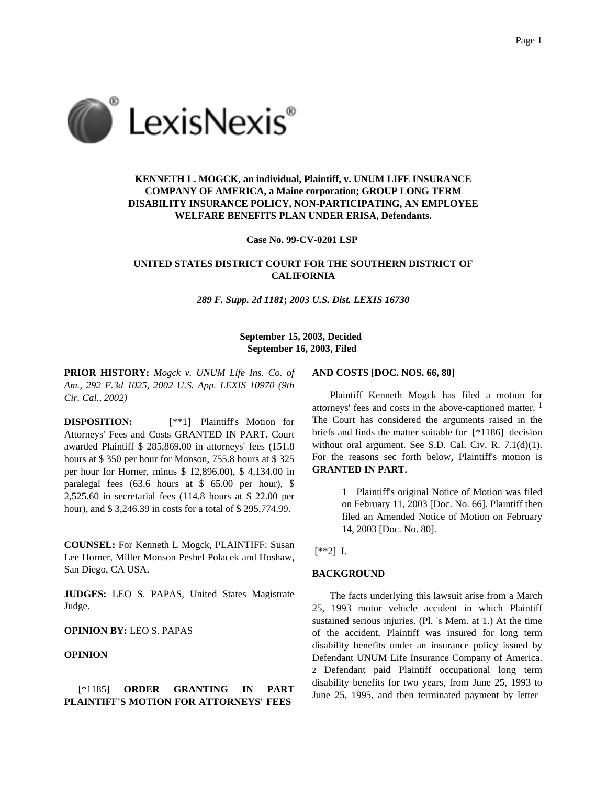

# **KENNETH L. MOGCK, an individual, Plaintiff, v. UNUM LIFE INSURANCE COMPANY OF AMERICA, a Maine corporation; GROUP LONG TERM DISABILITY INSURANCE POLICY, NON-PARTICIPATING, AN EMPLOYEE WELFARE BENEFITS PLAN UNDER ERISA, Defendants.**

**Case No. 99-CV-0201 LSP**

# **UNITED STATES DISTRICT COURT FOR THE SOUTHERN DISTRICT OF CALIFORNIA**

*289 F. Supp. 2d 1181***;** *2003 U.S. Dist. LEXIS 16730*

## **September 15, 2003, Decided September 16, 2003, Filed**

**PRIOR HISTORY:** *Mogck v. UNUM Life Ins. Co. of Am., 292 F.3d 1025, 2002 U.S. App. LEXIS 10970 (9th Cir. Cal., 2002)*

**DISPOSITION:** [\*\*1] Plaintiff's Motion for Attorneys' Fees and Costs GRANTED IN PART. Court awarded Plaintiff \$ 285,869.00 in attorneys' fees (151.8 hours at \$ 350 per hour for Monson, 755.8 hours at \$ 325 per hour for Horner, minus \$ 12,896.00), \$ 4,134.00 in paralegal fees (63.6 hours at \$ 65.00 per hour), \$ 2,525.60 in secretarial fees (114.8 hours at \$ 22.00 per hour), and \$3,246.39 in costs for a total of \$295,774.99.

**COUNSEL:** For Kenneth L Mogck, PLAINTIFF: Susan Lee Horner, Miller Monson Peshel Polacek and Hoshaw, San Diego, CA USA.

**JUDGES:** LEO S. PAPAS, United States Magistrate Judge.

**OPINION BY:** LEO S. PAPAS

# **OPINION**

## [\*1185] **ORDER GRANTING IN PART PLAINTIFF'S MOTION FOR ATTORNEYS' FEES**

#### **AND COSTS [DOC. NOS. 66, 80]**

Plaintiff Kenneth Mogck has filed a motion for attorneys' fees and costs in the above-captioned matter. 1 The Court has considered the arguments raised in the briefs and finds the matter suitable for [\*1186] decision without oral argument. See S.D. Cal. Civ. R. 7.1(d)(1). For the reasons sec forth below, Plaintiff's motion is **GRANTED IN PART.**

> 1 Plaintiff's original Notice of Motion was filed on February 11, 2003 [Doc. No. 66]. Plaintiff then filed an Amended Notice of Motion on February 14, 2003 [Doc. No. 80].

### [\*\*2] I.

#### **BACKGROUND**

The facts underlying this lawsuit arise from a March 25, 1993 motor vehicle accident in which Plaintiff sustained serious injuries. (Pl. 's Mem. at 1.) At the time of the accident, Plaintiff was insured for long term disability benefits under an insurance policy issued by Defendant UNUM Life Insurance Company of America. 2 Defendant paid Plaintiff occupational long term disability benefits for two years, from June 25, 1993 to June 25, 1995, and then terminated payment by letter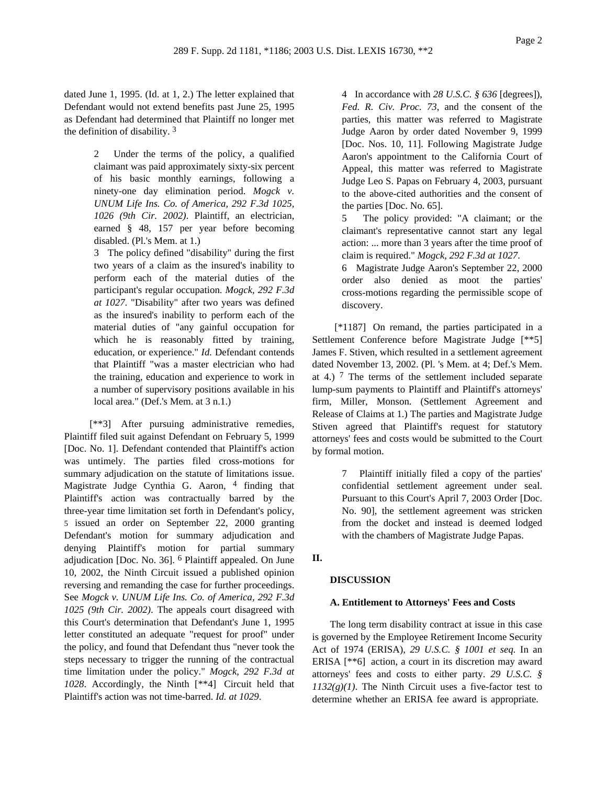dated June 1, 1995. (Id. at 1, 2.) The letter explained that Defendant would not extend benefits past June 25, 1995 as Defendant had determined that Plaintiff no longer met the definition of disability. 3

> 2 Under the terms of the policy, a qualified claimant was paid approximately sixty-six percent of his basic monthly earnings, following a ninety-one day elimination period. *Mogck v. UNUM Life Ins. Co. of America, 292 F.3d 1025, 1026 (9th Cir. 2002)*. Plaintiff, an electrician, earned § 48, 157 per year before becoming disabled. (Pl.'s Mem. at 1.)

> 3 The policy defined "disability" during the first two years of a claim as the insured's inability to perform each of the material duties of the participant's regular occupation. *Mogck, 292 F.3d at 1027*. "Disability" after two years was defined as the insured's inability to perform each of the material duties of "any gainful occupation for which he is reasonably fitted by training, education, or experience." *Id.* Defendant contends that Plaintiff "was a master electrician who had the training, education and experience to work in a number of supervisory positions available in his local area." (Def.'s Mem. at 3 n.1.)

[\*\*3] After pursuing administrative remedies, Plaintiff filed suit against Defendant on February 5, 1999 [Doc. No. 1]. Defendant contended that Plaintiff's action was untimely. The parties filed cross-motions for summary adjudication on the statute of limitations issue. Magistrate Judge Cynthia G. Aaron, <sup>4</sup> finding that Plaintiff's action was contractually barred by the three-year time limitation set forth in Defendant's policy, 5 issued an order on September 22, 2000 granting Defendant's motion for summary adjudication and denying Plaintiff's motion for partial summary adjudication [Doc. No. 36]. 6 Plaintiff appealed. On June 10, 2002, the Ninth Circuit issued a published opinion reversing and remanding the case for further proceedings. See *Mogck v. UNUM Life Ins. Co. of America, 292 F.3d 1025 (9th Cir. 2002)*. The appeals court disagreed with this Court's determination that Defendant's June 1, 1995 letter constituted an adequate "request for proof" under the policy, and found that Defendant thus "never took the steps necessary to trigger the running of the contractual time limitation under the policy." *Mogck, 292 F.3d at 1028*. Accordingly, the Ninth [\*\*4] Circuit held that Plaintiff's action was not time-barred. *Id. at 1029*.

4 In accordance with *28 U.S.C. § 636* [degrees]), *Fed. R. Civ. Proc. 73*, and the consent of the parties, this matter was referred to Magistrate Judge Aaron by order dated November 9, 1999 [Doc. Nos. 10, 11]. Following Magistrate Judge Aaron's appointment to the California Court of Appeal, this matter was referred to Magistrate Judge Leo S. Papas on February 4, 2003, pursuant to the above-cited authorities and the consent of the parties [Doc. No. 65].

5 The policy provided: "A claimant; or the claimant's representative cannot start any legal action: ... more than 3 years after the time proof of claim is required." *Mogck, 292 F.3d at 1027*.

6 Magistrate Judge Aaron's September 22, 2000 order also denied as moot the parties' cross-motions regarding the permissible scope of discovery.

[\*1187] On remand, the parties participated in a Settlement Conference before Magistrate Judge [\*\*5] James F. Stiven, which resulted in a settlement agreement dated November 13, 2002. (Pl. 's Mem. at 4; Def.'s Mem. at 4.)  $\frac{7}{7}$  The terms of the settlement included separate lump-sum payments to Plaintiff and Plaintiff's attorneys' firm, Miller, Monson. (Settlement Agreement and Release of Claims at 1.) The parties and Magistrate Judge Stiven agreed that Plaintiff's request for statutory attorneys' fees and costs would be submitted to the Court by formal motion.

> 7 Plaintiff initially filed a copy of the parties' confidential settlement agreement under seal. Pursuant to this Court's April 7, 2003 Order [Doc. No. 90], the settlement agreement was stricken from the docket and instead is deemed lodged with the chambers of Magistrate Judge Papas.

## **II.**

## **DISCUSSION**

## **A. Entitlement to Attorneys' Fees and Costs**

The long term disability contract at issue in this case is governed by the Employee Retirement Income Security Act of 1974 (ERISA), *29 U.S.C. § 1001 et seq.* In an ERISA [\*\*6] action, a court in its discretion may award attorneys' fees and costs to either party. *29 U.S.C. §*  $1132(g)(1)$ . The Ninth Circuit uses a five-factor test to determine whether an ERISA fee award is appropriate.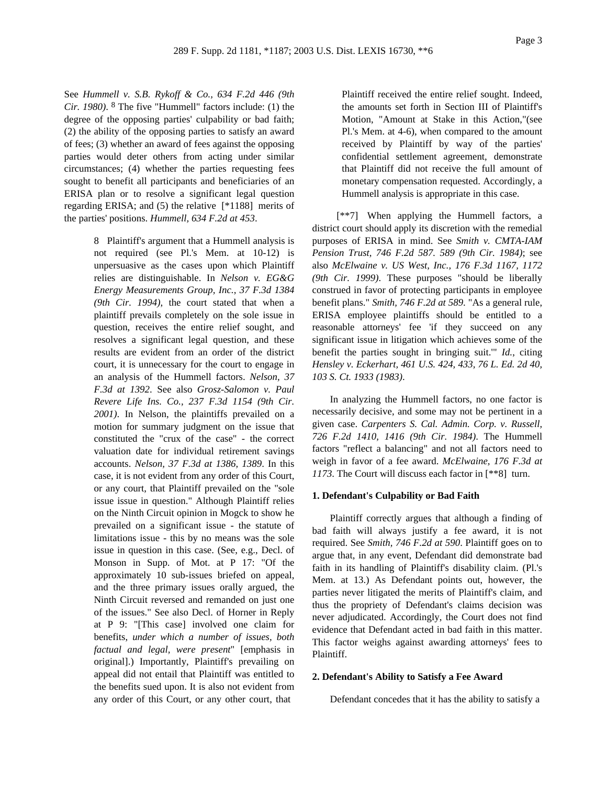See *Hummell v. S.B. Rykoff & Co., 634 F.2d 446 (9th Cir. 1980)*. 8 The five "Hummell" factors include: (1) the degree of the opposing parties' culpability or bad faith; (2) the ability of the opposing parties to satisfy an award of fees; (3) whether an award of fees against the opposing parties would deter others from acting under similar circumstances; (4) whether the parties requesting fees sought to benefit all participants and beneficiaries of an ERISA plan or to resolve a significant legal question regarding ERISA; and (5) the relative [\*1188] merits of the parties' positions. *Hummell, 634 F.2d at 453*.

> 8 Plaintiff's argument that a Hummell analysis is not required (see Pl.'s Mem. at 10-12) is unpersuasive as the cases upon which Plaintiff relies are distinguishable. In *Nelson v. EG&G Energy Measurements Group, Inc., 37 F.3d 1384 (9th Cir. 1994)*, the court stated that when a plaintiff prevails completely on the sole issue in question, receives the entire relief sought, and resolves a significant legal question, and these results are evident from an order of the district court, it is unnecessary for the court to engage in an analysis of the Hummell factors. *Nelson, 37 F.3d at 1392*. See also *Grosz-Salomon v. Paul Revere Life Ins. Co., 237 F.3d 1154 (9th Cir. 2001)*. In Nelson, the plaintiffs prevailed on a motion for summary judgment on the issue that constituted the "crux of the case" - the correct valuation date for individual retirement savings accounts. *Nelson, 37 F.3d at 1386, 1389*. In this case, it is not evident from any order of this Court, or any court, that Plaintiff prevailed on the "sole issue issue in question." Although Plaintiff relies on the Ninth Circuit opinion in Mogck to show he prevailed on a significant issue - the statute of limitations issue - this by no means was the sole issue in question in this case. (See, e.g., Decl. of Monson in Supp. of Mot. at P 17: "Of the approximately 10 sub-issues briefed on appeal, and the three primary issues orally argued, the Ninth Circuit reversed and remanded on just one of the issues." See also Decl. of Horner in Reply at P 9: "[This case] involved one claim for benefits, *under which a number of issues, both factual and legal, were present*" [emphasis in original].) Importantly, Plaintiff's prevailing on appeal did not entail that Plaintiff was entitled to the benefits sued upon. It is also not evident from any order of this Court, or any other court, that

Plaintiff received the entire relief sought. Indeed, the amounts set forth in Section III of Plaintiff's Motion, "Amount at Stake in this Action,"(see Pl.'s Mem. at 4-6), when compared to the amount received by Plaintiff by way of the parties' confidential settlement agreement, demonstrate that Plaintiff did not receive the full amount of monetary compensation requested. Accordingly, a Hummell analysis is appropriate in this case.

[\*\*7] When applying the Hummell factors, a district court should apply its discretion with the remedial purposes of ERISA in mind. See *Smith v. CMTA-IAM Pension Trust, 746 F.2d 587. 589 (9th Cir. 1984)*; see also *McElwaine v. US West, Inc., 176 F.3d 1167, 1172 (9th Cir. 1999)*. These purposes "should be liberally construed in favor of protecting participants in employee benefit plans." *Smith, 746 F.2d at 589*. "As a general rule, ERISA employee plaintiffs should be entitled to a reasonable attorneys' fee 'if they succeed on any significant issue in litigation which achieves some of the benefit the parties sought in bringing suit.'" *Id.*, citing *Hensley v. Eckerhart, 461 U.S. 424, 433, 76 L. Ed. 2d 40, 103 S. Ct. 1933 (1983)*.

In analyzing the Hummell factors, no one factor is necessarily decisive, and some may not be pertinent in a given case. *Carpenters S. Cal. Admin. Corp. v. Russell, 726 F.2d 1410, 1416 (9th Cir. 1984)*. The Hummell factors "reflect a balancing" and not all factors need to weigh in favor of a fee award. *McElwaine, 176 F.3d at 1173*. The Court will discuss each factor in [\*\*8] turn.

#### **1. Defendant's Culpability or Bad Faith**

Plaintiff correctly argues that although a finding of bad faith will always justify a fee award, it is not required. See *Smith, 746 F.2d at 590*. Plaintiff goes on to argue that, in any event, Defendant did demonstrate bad faith in its handling of Plaintiff's disability claim. (Pl.'s Mem. at 13.) As Defendant points out, however, the parties never litigated the merits of Plaintiff's claim, and thus the propriety of Defendant's claims decision was never adjudicated. Accordingly, the Court does not find evidence that Defendant acted in bad faith in this matter. This factor weighs against awarding attorneys' fees to Plaintiff.

#### **2. Defendant's Ability to Satisfy a Fee Award**

Defendant concedes that it has the ability to satisfy a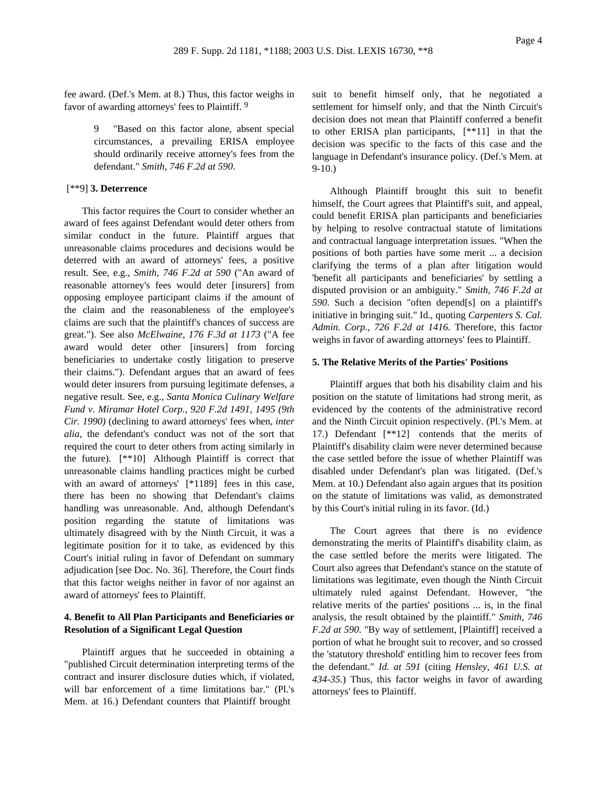fee award. (Def.'s Mem. at 8.) Thus, this factor weighs in favor of awarding attorneys' fees to Plaintiff. 9

> "Based on this factor alone, absent special circumstances, a prevailing ERISA employee should ordinarily receive attorney's fees from the defendant." *Smith, 746 F.2d at 590*.

## [\*\*9] **3. Deterrence**

This factor requires the Court to consider whether an award of fees against Defendant would deter others from similar conduct in the future. Plaintiff argues that unreasonable claims procedures and decisions would be deterred with an award of attorneys' fees, a positive result. See, e.g., *Smith, 746 F.2d at 590* ("An award of reasonable attorney's fees would deter [insurers] from opposing employee participant claims if the amount of the claim and the reasonableness of the employee's claims are such that the plaintiff's chances of success are great."). See also *McElwaine, 176 F.3d at 1173* ("A fee award would deter other [insurers] from forcing beneficiaries to undertake costly litigation to preserve their claims."). Defendant argues that an award of fees would deter insurers from pursuing legitimate defenses, a negative result. See, e.g., *Santa Monica Culinary Welfare Fund v. Miramar Hotel Corp., 920 F.2d 1491, 1495 (9th Cir. 1990)* (declining to award attorneys' fees when, *inter alia,* the defendant's conduct was not of the sort that required the court to deter others from acting similarly in the future). [\*\*10] Although Plaintiff is correct that unreasonable claims handling practices might be curbed with an award of attorneys' [\*1189] fees in this case, there has been no showing that Defendant's claims handling was unreasonable. And, although Defendant's position regarding the statute of limitations was ultimately disagreed with by the Ninth Circuit, it was a legitimate position for it to take, as evidenced by this Court's initial ruling in favor of Defendant on summary adjudication [see Doc. No. 36]. Therefore, the Court finds that this factor weighs neither in favor of nor against an award of attorneys' fees to Plaintiff.

## **4. Benefit to All Plan Participants and Beneficiaries or Resolution of a Significant Legal Question**

Plaintiff argues that he succeeded in obtaining a "published Circuit determination interpreting terms of the contract and insurer disclosure duties which, if violated, will bar enforcement of a time limitations bar." (Pl.'s Mem. at 16.) Defendant counters that Plaintiff brought

suit to benefit himself only, that he negotiated a settlement for himself only, and that the Ninth Circuit's decision does not mean that Plaintiff conferred a benefit to other ERISA plan participants, [\*\*11] in that the decision was specific to the facts of this case and the language in Defendant's insurance policy. (Def.'s Mem. at 9-10.)

Although Plaintiff brought this suit to benefit himself, the Court agrees that Plaintiff's suit, and appeal, could benefit ERISA plan participants and beneficiaries by helping to resolve contractual statute of limitations and contractual language interpretation issues. "When the positions of both parties have some merit ... a decision clarifying the terms of a plan after litigation would 'benefit all participants and beneficiaries' by settling a disputed provision or an ambiguity." *Smith, 746 F.2d at 590*. Such a decision "often depend[s] on a plaintiff's initiative in bringing suit." Id., quoting *Carpenters S. Cal. Admin. Corp., 726 F.2d at 1416*. Therefore, this factor weighs in favor of awarding attorneys' fees to Plaintiff.

#### **5. The Relative Merits of the Parties' Positions**

Plaintiff argues that both his disability claim and his position on the statute of limitations had strong merit, as evidenced by the contents of the administrative record and the Ninth Circuit opinion respectively. (Pl.'s Mem. at 17.) Defendant [\*\*12] contends that the merits of Plaintiff's disability claim were never determined because the case settled before the issue of whether Plaintiff was disabled under Defendant's plan was litigated. (Def.'s Mem. at 10.) Defendant also again argues that its position on the statute of limitations was valid, as demonstrated by this Court's initial ruling in its favor. (Id.)

The Court agrees that there is no evidence demonstrating the merits of Plaintiff's disability claim, as the case settled before the merits were litigated. The Court also agrees that Defendant's stance on the statute of limitations was legitimate, even though the Ninth Circuit ultimately ruled against Defendant. However, "the relative merits of the parties' positions ... is, in the final analysis, the result obtained by the plaintiff." *Smith, 746 F.2d at 590*. "By way of settlement, [Plaintiff] received a portion of what he brought suit to recover, and so crossed the 'statutory threshold' entitling him to recover fees from the defendant." *Id. at 591* (citing *Hensley, 461 U.S. at 434-35*.) Thus, this factor weighs in favor of awarding attorneys' fees to Plaintiff.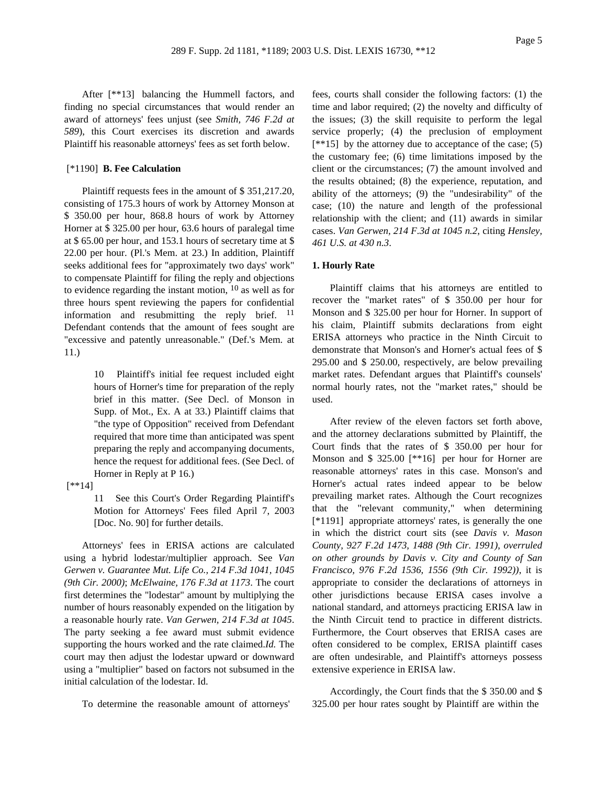After [\*\*13] balancing the Hummell factors, and finding no special circumstances that would render an award of attorneys' fees unjust (see *Smith, 746 F.2d at 589*), this Court exercises its discretion and awards Plaintiff his reasonable attorneys' fees as set forth below.

#### [\*1190] **B. Fee Calculation**

Plaintiff requests fees in the amount of \$ 351,217.20, consisting of 175.3 hours of work by Attorney Monson at \$ 350.00 per hour, 868.8 hours of work by Attorney Horner at \$ 325.00 per hour, 63.6 hours of paralegal time at \$ 65.00 per hour, and 153.1 hours of secretary time at \$ 22.00 per hour. (Pl.'s Mem. at 23.) In addition, Plaintiff seeks additional fees for "approximately two days' work" to compensate Plaintiff for filing the reply and objections to evidence regarding the instant motion,  $10$  as well as for three hours spent reviewing the papers for confidential information and resubmitting the reply brief. <sup>11</sup> Defendant contends that the amount of fees sought are "excessive and patently unreasonable." (Def.'s Mem. at 11.)

> 10 Plaintiff's initial fee request included eight hours of Horner's time for preparation of the reply brief in this matter. (See Decl. of Monson in Supp. of Mot., Ex. A at 33.) Plaintiff claims that "the type of Opposition" received from Defendant required that more time than anticipated was spent preparing the reply and accompanying documents, hence the request for additional fees. (See Decl. of Horner in Reply at P 16.)

[\*\*14]

11 See this Court's Order Regarding Plaintiff's Motion for Attorneys' Fees filed April 7, 2003 [Doc. No. 90] for further details.

Attorneys' fees in ERISA actions are calculated using a hybrid lodestar/multiplier approach. See *Van Gerwen v. Guarantee Mut. Life Co., 214 F.3d 1041, 1045 (9th Cir. 2000)*; *McElwaine, 176 F.3d at 1173*. The court first determines the "lodestar" amount by multiplying the number of hours reasonably expended on the litigation by a reasonable hourly rate. *Van Gerwen, 214 F.3d at 1045*. The party seeking a fee award must submit evidence supporting the hours worked and the rate claimed.*Id.* The court may then adjust the lodestar upward or downward using a "multiplier" based on factors not subsumed in the initial calculation of the lodestar. Id.

To determine the reasonable amount of attorneys'

fees, courts shall consider the following factors: (1) the time and labor required; (2) the novelty and difficulty of the issues; (3) the skill requisite to perform the legal service properly; (4) the preclusion of employment  $[**15]$  by the attorney due to acceptance of the case; (5) the customary fee; (6) time limitations imposed by the client or the circumstances; (7) the amount involved and the results obtained; (8) the experience, reputation, and ability of the attorneys; (9) the "undesirability" of the case; (10) the nature and length of the professional relationship with the client; and (11) awards in similar cases. *Van Gerwen, 214 F.3d at 1045 n.2*, citing *Hensley, 461 U.S. at 430 n.3*.

#### **1. Hourly Rate**

Plaintiff claims that his attorneys are entitled to recover the "market rates" of \$ 350.00 per hour for Monson and \$ 325.00 per hour for Horner. In support of his claim, Plaintiff submits declarations from eight ERISA attorneys who practice in the Ninth Circuit to demonstrate that Monson's and Horner's actual fees of \$ 295.00 and \$ 250.00, respectively, are below prevailing market rates. Defendant argues that Plaintiff's counsels' normal hourly rates, not the "market rates," should be used.

After review of the eleven factors set forth above, and the attorney declarations submitted by Plaintiff, the Court finds that the rates of \$ 350.00 per hour for Monson and \$ 325.00 [\*\*16] per hour for Horner are reasonable attorneys' rates in this case. Monson's and Horner's actual rates indeed appear to be below prevailing market rates. Although the Court recognizes that the "relevant community," when determining [\*1191] appropriate attorneys' rates, is generally the one in which the district court sits (see *Davis v. Mason County, 927 F.2d 1473, 1488 (9th Cir. 1991)*, *overruled on other grounds by Davis v. City and County of San Francisco, 976 F.2d 1536, 1556 (9th Cir. 1992))*, it is appropriate to consider the declarations of attorneys in other jurisdictions because ERISA cases involve a national standard, and attorneys practicing ERISA law in the Ninth Circuit tend to practice in different districts. Furthermore, the Court observes that ERISA cases are often considered to be complex, ERISA plaintiff cases are often undesirable, and Plaintiff's attorneys possess extensive experience in ERISA law.

Accordingly, the Court finds that the \$ 350.00 and \$ 325.00 per hour rates sought by Plaintiff are within the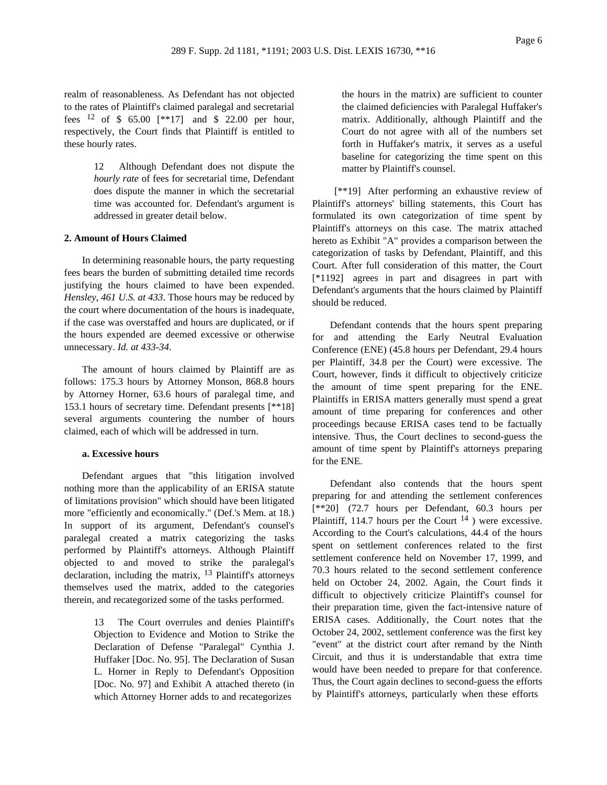realm of reasonableness. As Defendant has not objected to the rates of Plaintiff's claimed paralegal and secretarial fees  $12$  of \$ 65.00 [\*\*17] and \$ 22.00 per hour, respectively, the Court finds that Plaintiff is entitled to these hourly rates.

> 12 Although Defendant does not dispute the *hourly rate* of fees for secretarial time, Defendant does dispute the manner in which the secretarial time was accounted for. Defendant's argument is addressed in greater detail below.

#### **2. Amount of Hours Claimed**

In determining reasonable hours, the party requesting fees bears the burden of submitting detailed time records justifying the hours claimed to have been expended. *Hensley, 461 U.S. at 433*. Those hours may be reduced by the court where documentation of the hours is inadequate, if the case was overstaffed and hours are duplicated, or if the hours expended are deemed excessive or otherwise unnecessary. *Id. at 433-34*.

The amount of hours claimed by Plaintiff are as follows: 175.3 hours by Attorney Monson, 868.8 hours by Attorney Horner, 63.6 hours of paralegal time, and 153.1 hours of secretary time. Defendant presents [\*\*18] several arguments countering the number of hours claimed, each of which will be addressed in turn.

## **a. Excessive hours**

Defendant argues that "this litigation involved nothing more than the applicability of an ERISA statute of limitations provision" which should have been litigated more "efficiently and economically." (Def.'s Mem. at 18.) In support of its argument, Defendant's counsel's paralegal created a matrix categorizing the tasks performed by Plaintiff's attorneys. Although Plaintiff objected to and moved to strike the paralegal's declaration, including the matrix, 13 Plaintiff's attorneys themselves used the matrix, added to the categories therein, and recategorized some of the tasks performed.

> 13 The Court overrules and denies Plaintiff's Objection to Evidence and Motion to Strike the Declaration of Defense "Paralegal" Cynthia J. Huffaker [Doc. No. 95]. The Declaration of Susan L. Horner in Reply to Defendant's Opposition [Doc. No. 97] and Exhibit A attached thereto (in which Attorney Horner adds to and recategorizes

the hours in the matrix) are sufficient to counter the claimed deficiencies with Paralegal Huffaker's matrix. Additionally, although Plaintiff and the Court do not agree with all of the numbers set forth in Huffaker's matrix, it serves as a useful baseline for categorizing the time spent on this matter by Plaintiff's counsel.

[\*\*19] After performing an exhaustive review of Plaintiff's attorneys' billing statements, this Court has formulated its own categorization of time spent by Plaintiff's attorneys on this case. The matrix attached hereto as Exhibit "A" provides a comparison between the categorization of tasks by Defendant, Plaintiff, and this Court. After full consideration of this matter, the Court [\*1192] agrees in part and disagrees in part with Defendant's arguments that the hours claimed by Plaintiff should be reduced.

Defendant contends that the hours spent preparing for and attending the Early Neutral Evaluation Conference (ENE) (45.8 hours per Defendant, 29.4 hours per Plaintiff, 34.8 per the Court) were excessive. The Court, however, finds it difficult to objectively criticize the amount of time spent preparing for the ENE. Plaintiffs in ERISA matters generally must spend a great amount of time preparing for conferences and other proceedings because ERISA cases tend to be factually intensive. Thus, the Court declines to second-guess the amount of time spent by Plaintiff's attorneys preparing for the ENE.

Defendant also contends that the hours spent preparing for and attending the settlement conferences [\*\*20] (72.7 hours per Defendant, 60.3 hours per Plaintiff, 114.7 hours per the Court  $^{14}$ ) were excessive. According to the Court's calculations, 44.4 of the hours spent on settlement conferences related to the first settlement conference held on November 17, 1999, and 70.3 hours related to the second settlement conference held on October 24, 2002. Again, the Court finds it difficult to objectively criticize Plaintiff's counsel for their preparation time, given the fact-intensive nature of ERISA cases. Additionally, the Court notes that the October 24, 2002, settlement conference was the first key "event" at the district court after remand by the Ninth Circuit, and thus it is understandable that extra time would have been needed to prepare for that conference. Thus, the Court again declines to second-guess the efforts by Plaintiff's attorneys, particularly when these efforts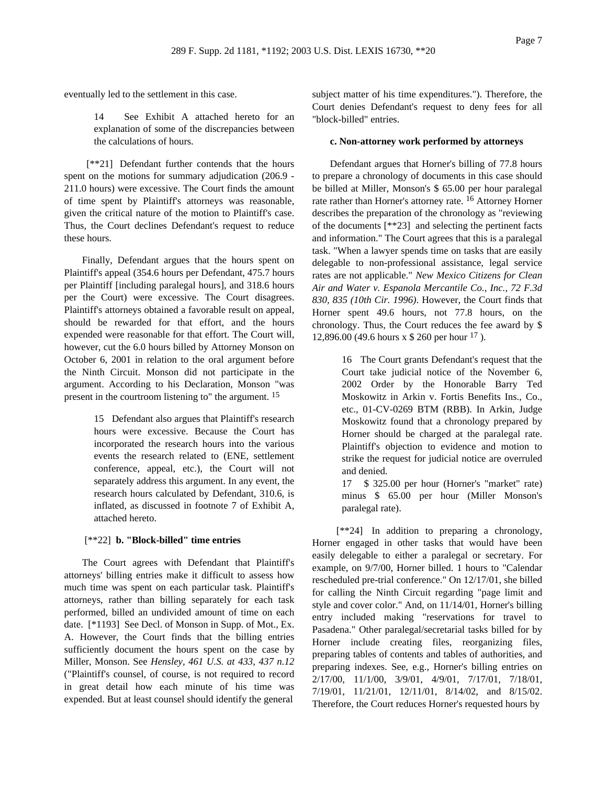eventually led to the settlement in this case.

14 See Exhibit A attached hereto for an explanation of some of the discrepancies between the calculations of hours.

[\*\*21] Defendant further contends that the hours spent on the motions for summary adjudication (206.9 - 211.0 hours) were excessive. The Court finds the amount of time spent by Plaintiff's attorneys was reasonable, given the critical nature of the motion to Plaintiff's case. Thus, the Court declines Defendant's request to reduce these hours.

Finally, Defendant argues that the hours spent on Plaintiff's appeal (354.6 hours per Defendant, 475.7 hours per Plaintiff [including paralegal hours], and 318.6 hours per the Court) were excessive. The Court disagrees. Plaintiff's attorneys obtained a favorable result on appeal, should be rewarded for that effort, and the hours expended were reasonable for that effort. The Court will, however, cut the 6.0 hours billed by Attorney Monson on October 6, 2001 in relation to the oral argument before the Ninth Circuit. Monson did not participate in the argument. According to his Declaration, Monson "was present in the courtroom listening to" the argument. 15

> 15 Defendant also argues that Plaintiff's research hours were excessive. Because the Court has incorporated the research hours into the various events the research related to (ENE, settlement conference, appeal, etc.), the Court will not separately address this argument. In any event, the research hours calculated by Defendant, 310.6, is inflated, as discussed in footnote 7 of Exhibit A, attached hereto.

## [\*\*22] **b. "Block-billed" time entries**

The Court agrees with Defendant that Plaintiff's attorneys' billing entries make it difficult to assess how much time was spent on each particular task. Plaintiff's attorneys, rather than billing separately for each task performed, billed an undivided amount of time on each date. [\*1193] See Decl. of Monson in Supp. of Mot., Ex. A. However, the Court finds that the billing entries sufficiently document the hours spent on the case by Miller, Monson. See *Hensley, 461 U.S. at 433, 437 n.12* ("Plaintiff's counsel, of course, is not required to record in great detail how each minute of his time was expended. But at least counsel should identify the general

subject matter of his time expenditures."). Therefore, the Court denies Defendant's request to deny fees for all "block-billed" entries.

#### **c. Non-attorney work performed by attorneys**

Defendant argues that Horner's billing of 77.8 hours to prepare a chronology of documents in this case should be billed at Miller, Monson's \$ 65.00 per hour paralegal rate rather than Horner's attorney rate. 16 Attorney Horner describes the preparation of the chronology as "reviewing of the documents [\*\*23] and selecting the pertinent facts and information." The Court agrees that this is a paralegal task. "When a lawyer spends time on tasks that are easily delegable to non-professional assistance, legal service rates are not applicable." *New Mexico Citizens for Clean Air and Water v. Espanola Mercantile Co., Inc., 72 F.3d 830, 835 (10th Cir. 1996)*. However, the Court finds that Horner spent 49.6 hours, not 77.8 hours, on the chronology. Thus, the Court reduces the fee award by \$ 12,896.00 (49.6 hours x \$ 260 per hour 17 ).

> 16 The Court grants Defendant's request that the Court take judicial notice of the November 6, 2002 Order by the Honorable Barry Ted Moskowitz in Arkin v. Fortis Benefits Ins., Co., etc., 01-CV-0269 BTM (RBB). In Arkin, Judge Moskowitz found that a chronology prepared by Horner should be charged at the paralegal rate. Plaintiff's objection to evidence and motion to strike the request for judicial notice are overruled and denied.

> 17 \$ 325.00 per hour (Horner's "market" rate) minus \$ 65.00 per hour (Miller Monson's paralegal rate).

[\*\*24] In addition to preparing a chronology, Horner engaged in other tasks that would have been easily delegable to either a paralegal or secretary. For example, on 9/7/00, Horner billed. 1 hours to "Calendar rescheduled pre-trial conference." On 12/17/01, she billed for calling the Ninth Circuit regarding "page limit and style and cover color." And, on 11/14/01, Horner's billing entry included making "reservations for travel to Pasadena." Other paralegal/secretarial tasks billed for by Horner include creating files, reorganizing files, preparing tables of contents and tables of authorities, and preparing indexes. See, e.g., Horner's billing entries on 2/17/00, 11/1/00, 3/9/01, 4/9/01, 7/17/01, 7/18/01, 7/19/01, 11/21/01, 12/11/01, 8/14/02, and 8/15/02. Therefore, the Court reduces Horner's requested hours by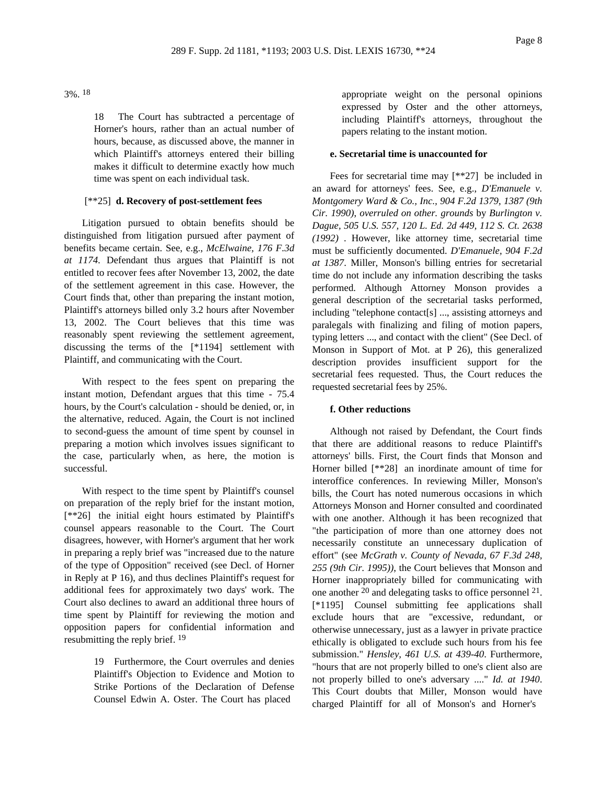3%. 18

18 The Court has subtracted a percentage of Horner's hours, rather than an actual number of hours, because, as discussed above, the manner in which Plaintiff's attorneys entered their billing makes it difficult to determine exactly how much time was spent on each individual task.

### [\*\*25] **d. Recovery of post-settlement fees**

Litigation pursued to obtain benefits should be distinguished from litigation pursued after payment of benefits became certain. See, e.g., *McElwaine, 176 F.3d at 1174*. Defendant thus argues that Plaintiff is not entitled to recover fees after November 13, 2002, the date of the settlement agreement in this case. However, the Court finds that, other than preparing the instant motion, Plaintiff's attorneys billed only 3.2 hours after November 13, 2002. The Court believes that this time was reasonably spent reviewing the settlement agreement, discussing the terms of the [\*1194] settlement with Plaintiff, and communicating with the Court.

With respect to the fees spent on preparing the instant motion, Defendant argues that this time - 75.4 hours, by the Court's calculation - should be denied, or, in the alternative, reduced. Again, the Court is not inclined to second-guess the amount of time spent by counsel in preparing a motion which involves issues significant to the case, particularly when, as here, the motion is successful.

With respect to the time spent by Plaintiff's counsel on preparation of the reply brief for the instant motion, [\*\*26] the initial eight hours estimated by Plaintiff's counsel appears reasonable to the Court. The Court disagrees, however, with Horner's argument that her work in preparing a reply brief was "increased due to the nature of the type of Opposition" received (see Decl. of Horner in Reply at P 16), and thus declines Plaintiff's request for additional fees for approximately two days' work. The Court also declines to award an additional three hours of time spent by Plaintiff for reviewing the motion and opposition papers for confidential information and resubmitting the reply brief. 19

> 19 Furthermore, the Court overrules and denies Plaintiff's Objection to Evidence and Motion to Strike Portions of the Declaration of Defense Counsel Edwin A. Oster. The Court has placed

appropriate weight on the personal opinions expressed by Oster and the other attorneys, including Plaintiff's attorneys, throughout the papers relating to the instant motion.

#### **e. Secretarial time is unaccounted for**

Fees for secretarial time may [\*\*27] be included in an award for attorneys' fees. See, e.g., *D'Emanuele v. Montgomery Ward & Co., Inc., 904 F.2d 1379, 1387 (9th Cir. 1990)*, *overruled on other. grounds* by *Burlington v. Dague, 505 U.S. 557, 120 L. Ed. 2d 449, 112 S. Ct. 2638 (1992)* . However, like attorney time, secretarial time must be sufficiently documented. *D'Emanuele, 904 F.2d at 1387*. Miller, Monson's billing entries for secretarial time do not include any information describing the tasks performed. Although Attorney Monson provides a general description of the secretarial tasks performed, including "telephone contact[s] ..., assisting attorneys and paralegals with finalizing and filing of motion papers, typing letters ..., and contact with the client" (See Decl. of Monson in Support of Mot. at P 26), this generalized description provides insufficient support for the secretarial fees requested. Thus, the Court reduces the requested secretarial fees by 25%.

## **f. Other reductions**

Although not raised by Defendant, the Court finds that there are additional reasons to reduce Plaintiff's attorneys' bills. First, the Court finds that Monson and Horner billed [\*\*28] an inordinate amount of time for interoffice conferences. In reviewing Miller, Monson's bills, the Court has noted numerous occasions in which Attorneys Monson and Horner consulted and coordinated with one another. Although it has been recognized that "the participation of more than one attorney does not necessarily constitute an unnecessary duplication of effort" (see *McGrath v. County of Nevada, 67 F.3d 248, 255 (9th Cir. 1995))*, the Court believes that Monson and Horner inappropriately billed for communicating with one another  $20$  and delegating tasks to office personnel  $21$ . [\*1195] Counsel submitting fee applications shall exclude hours that are "excessive, redundant, or otherwise unnecessary, just as a lawyer in private practice ethically is obligated to exclude such hours from his fee submission." *Hensley, 461 U.S. at 439-40*. Furthermore, "hours that are not properly billed to one's client also are not properly billed to one's adversary ...." *Id. at 1940*. This Court doubts that Miller, Monson would have charged Plaintiff for all of Monson's and Horner's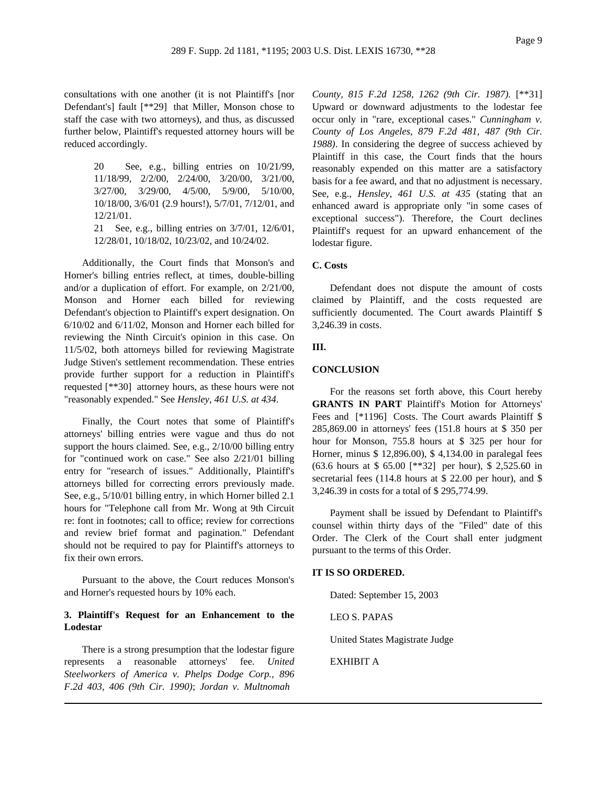consultations with one another (it is not Plaintiff's [nor Defendant's] fault [\*\*29] that Miller, Monson chose to staff the case with two attorneys), and thus, as discussed further below, Plaintiff's requested attorney hours will be reduced accordingly.

> 20 See, e.g., billing entries on 10/21/99, 11/18/99, 2/2/00, 2/24/00, 3/20/00, 3/21/00, 3/27/00, 3/29/00, 4/5/00, 5/9/00, 5/10/00, 10/18/00, 3/6/01 (2.9 hours!), 5/7/01, 7/12/01, and 12/21/01. 21 See, e.g., billing entries on 3/7/01, 12/6/01,

12/28/01, 10/18/02, 10/23/02, and 10/24/02. Additionally, the Court finds that Monson's and

Horner's billing entries reflect, at times, double-billing and/or a duplication of effort. For example, on 2/21/00, Monson and Horner each billed for reviewing Defendant's objection to Plaintiff's expert designation. On 6/10/02 and 6/11/02, Monson and Horner each billed for reviewing the Ninth Circuit's opinion in this case. On 11/5/02, both attorneys billed for reviewing Magistrate Judge Stiven's settlement recommendation. These entries provide further support for a reduction in Plaintiff's requested [\*\*30] attorney hours, as these hours were not "reasonably expended." See *Hensley, 461 U.S. at 434*.

Finally, the Court notes that some of Plaintiff's attorneys' billing entries were vague and thus do not support the hours claimed. See, e.g., 2/10/00 billing entry for "continued work on case." See also 2/21/01 billing entry for "research of issues." Additionally, Plaintiff's attorneys billed for correcting errors previously made. See, e.g., 5/10/01 billing entry, in which Horner billed 2.1 hours for "Telephone call from Mr. Wong at 9th Circuit re: font in footnotes; call to office; review for corrections and review brief format and pagination." Defendant should not be required to pay for Plaintiff's attorneys to fix their own errors.

Pursuant to the above, the Court reduces Monson's and Horner's requested hours by 10% each.

## **3. Plaintiff's Request for an Enhancement to the Lodestar**

There is a strong presumption that the lodestar figure represents a reasonable attorneys' fee. *United Steelworkers of America v. Phelps Dodge Corp., 896 F.2d 403, 406 (9th Cir. 1990)*; *Jordan v. Multnomah*

*County, 815 F.2d 1258, 1262 (9th Cir. 1987).* [\*\*31] Upward or downward adjustments to the lodestar fee occur only in "rare, exceptional cases." *Cunningham v. County of Los Angeles, 879 F.2d 481, 487 (9th Cir. 1988)*. In considering the degree of success achieved by Plaintiff in this case, the Court finds that the hours reasonably expended on this matter are a satisfactory basis for a fee award, and that no adjustment is necessary. See, e.g., *Hensley, 461 U.S. at 435* (stating that an enhanced award is appropriate only "in some cases of exceptional success"). Therefore, the Court declines Plaintiff's request for an upward enhancement of the lodestar figure.

## **C. Costs**

Defendant does not dispute the amount of costs claimed by Plaintiff, and the costs requested are sufficiently documented. The Court awards Plaintiff \$ 3,246.39 in costs.

## **III.**

#### **CONCLUSION**

For the reasons set forth above, this Court hereby **GRANTS IN PART** Plaintiff's Motion for Attorneys' Fees and [\*1196] Costs. The Court awards Plaintiff \$ 285,869.00 in attorneys' fees (151.8 hours at \$ 350 per hour for Monson, 755.8 hours at \$ 325 per hour for Horner, minus \$ 12,896.00), \$ 4,134.00 in paralegal fees (63.6 hours at \$ 65.00 [\*\*32] per hour), \$ 2,525.60 in secretarial fees (114.8 hours at \$ 22.00 per hour), and \$ 3,246.39 in costs for a total of \$ 295,774.99.

Payment shall be issued by Defendant to Plaintiff's counsel within thirty days of the "Filed" date of this Order. The Clerk of the Court shall enter judgment pursuant to the terms of this Order.

### **IT IS SO ORDERED.**

Dated: September 15, 2003

LEO S. PAPAS

United States Magistrate Judge

EXHIBIT A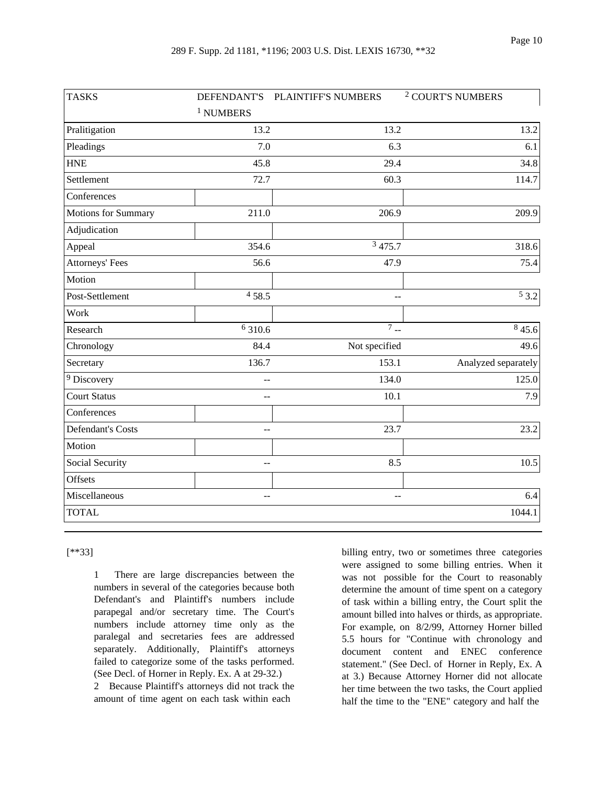| <b>TASKS</b>             |                | DEFENDANT'S PLAINTIFF'S NUMBERS | <sup>2</sup> COURT'S NUMBERS |
|--------------------------|----------------|---------------------------------|------------------------------|
|                          | $^1$ NUMBERS   |                                 |                              |
| Pralitigation            | 13.2           | 13.2                            | 13.2                         |
| Pleadings                | 7.0            | 6.3                             | 6.1                          |
| <b>HNE</b>               | 45.8           | 29.4                            | 34.8                         |
| Settlement               | 72.7           | 60.3                            | 114.7                        |
| Conferences              |                |                                 |                              |
| Motions for Summary      | 211.0          | 206.9                           | 209.9                        |
| Adjudication             |                |                                 |                              |
| Appeal                   | 354.6          | $\frac{3}{3}$ 475.7             | 318.6                        |
| <b>Attorneys' Fees</b>   | 56.6           | 47.9                            | 75.4                         |
| Motion                   |                |                                 |                              |
| Post-Settlement          | 458.5          | --                              | 53.2                         |
| Work                     |                |                                 |                              |
| Research                 | 6 310.6        | $7 -$                           | 845.6                        |
| Chronology               | 84.4           | Not specified                   | 49.6                         |
| Secretary                | 136.7          | 153.1                           | Analyzed separately          |
| <sup>9</sup> Discovery   | $\overline{a}$ | 134.0                           | 125.0                        |
| <b>Court Status</b>      | $-$            | 10.1                            | 7.9                          |
| Conferences              |                |                                 |                              |
| <b>Defendant's Costs</b> | $-$            | 23.7                            | 23.2                         |
| Motion                   |                |                                 |                              |
| Social Security          | $-$            | 8.5                             | 10.5                         |
| Offsets                  |                |                                 |                              |
| Miscellaneous            | $-$            | $-$                             | 6.4                          |
| <b>TOTAL</b>             |                |                                 | 1044.1                       |

[\*\*33]

1 There are large discrepancies between the numbers in several of the categories because both Defendant's and Plaintiff's numbers include parapegal and/or secretary time. The Court's numbers include attorney time only as the paralegal and secretaries fees are addressed separately. Additionally, Plaintiff's attorneys failed to categorize some of the tasks performed. (See Decl. of Horner in Reply. Ex. A at 29-32.)

2 Because Plaintiff's attorneys did not track the amount of time agent on each task within each

billing entry, two or sometimes three categories were assigned to some billing entries. When it was not possible for the Court to reasonably determine the amount of time spent on a category of task within a billing entry, the Court split the amount billed into halves or thirds, as appropriate. For example, on 8/2/99, Attorney Horner billed 5.5 hours for "Continue with chronology and document content and ENEC conference statement." (See Decl. of Horner in Reply, Ex. A at 3.) Because Attorney Horner did not allocate her time between the two tasks, the Court applied half the time to the "ENE" category and half the